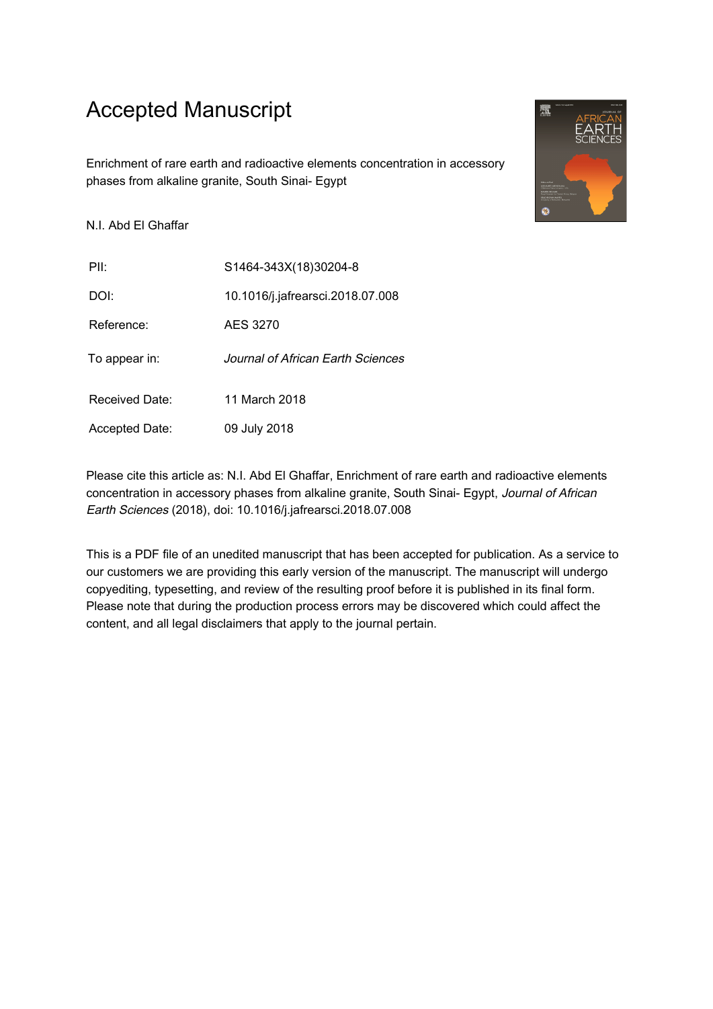## Accepted Manuscript

Enrichment of rare earth and radioactive elements concentration in accessory phases from alkaline granite, South Sinai- Egypt

N.I. Abd El Ghaffar

PII: S1464-343X(18)30204-8 DOI: 10.1016/j.jafrearsci.2018.07.008 Reference: AES 3270 To appear in: Journal of African Earth Sciences Received Date: 11 March 2018 Accepted Date: 09 July 2018

Please cite this article as: N.I. Abd El Ghaffar, Enrichment of rare earth and radioactive elements concentration in accessory phases from alkaline granite, South Sinai- Egypt, Journal of African Earth Sciences (2018), doi: 10.1016/j.jafrearsci.2018.07.008

This is a PDF file of an unedited manuscript that has been accepted for publication. As a service to our customers we are providing this early version of the manuscript. The manuscript will undergo copyediting, typesetting, and review of the resulting proof before it is published in its final form. Please note that during the production process errors may be discovered which could affect the content, and all legal disclaimers that apply to the journal pertain.

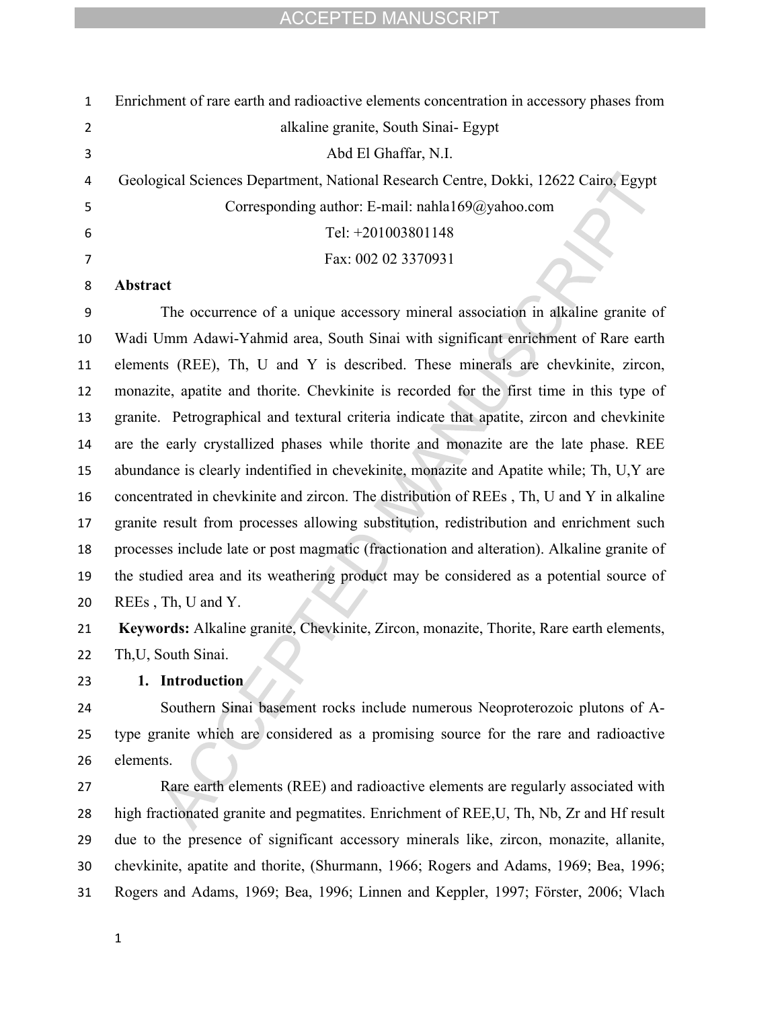| $\mathbf{1}$   | Enrichment of rare earth and radioactive elements concentration in accessory phases from    |
|----------------|---------------------------------------------------------------------------------------------|
| $\overline{2}$ | alkaline granite, South Sinai- Egypt                                                        |
| 3              | Abd El Ghaffar, N.I.                                                                        |
| 4              | Geological Sciences Department, National Research Centre, Dokki, 12622 Cairo, Egypt         |
| 5              | Corresponding author: E-mail: nahla169@yahoo.com                                            |
| 6              | Tel: +201003801148                                                                          |
| 7              | Fax: 002 02 3370931                                                                         |
| 8              | Abstract                                                                                    |
| 9              | The occurrence of a unique accessory mineral association in alkaline granite of             |
| 10             | Wadi Umm Adawi-Yahmid area, South Sinai with significant enrichment of Rare earth           |
| 11             | elements (REE), Th, U and Y is described. These minerals are chevkinite, zircon,            |
| 12             | monazite, apatite and thorite. Chevkinite is recorded for the first time in this type of    |
| 13             | granite. Petrographical and textural criteria indicate that apatite, zircon and chevkinite  |
| 14             | are the early crystallized phases while thorite and monazite are the late phase. REE        |
| 15             | abundance is clearly indentified in chevekinite, monazite and Apatite while; Th, U, Y are   |
| 16             | concentrated in chevkinite and zircon. The distribution of REEs, Th, U and Y in alkaline    |
| 17             | granite result from processes allowing substitution, redistribution and enrichment such     |
| 18             | processes include late or post magmatic (fractionation and alteration). Alkaline granite of |
| 19             | the studied area and its weathering product may be considered as a potential source of      |
| 20             | REEs, Th, U and Y.                                                                          |
| 21             | Keywords: Alkaline granite, Chevkinite, Zircon, monazite, Thorite, Rare earth elements,     |
| 22             | Th, U, South Sinai.                                                                         |
| 23             | 1. Introduction                                                                             |
| 24             | Southern Sinai basement rocks include numerous Neoproterozoic plutons of A-                 |
| 25             | type granite which are considered as a promising source for the rare and radioactive        |
| 26             | elements.                                                                                   |
| 27             | Rare earth elements (REE) and radioactive elements are regularly associated with            |
| 28             | high fractionated granite and pegmatites. Enrichment of REE, U, Th, Nb, Zr and Hf result    |
| 29             | due to the presence of significant accessory minerals like, zircon, monazite, allanite,     |
| 30             | chevkinite, apatite and thorite, (Shurmann, 1966; Rogers and Adams, 1969; Bea, 1996;        |
| 31             | Rogers and Adams, 1969; Bea, 1996; Linnen and Keppler, 1997; Förster, 2006; Vlach           |